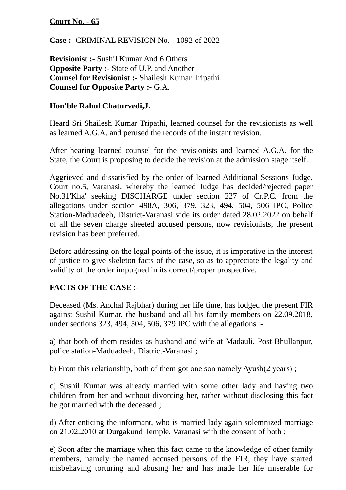# **Court No. - 65**

**Case :-** CRIMINAL REVISION No. - 1092 of 2022

**Revisionist :-** Sushil Kumar And 6 Others **Opposite Party :-** State of U.P. and Another **Counsel for Revisionist :-** Shailesh Kumar Tripathi **Counsel for Opposite Party :-** G.A.

# **Hon'ble Rahul Chaturvedi,J.**

Heard Sri Shailesh Kumar Tripathi, learned counsel for the revisionists as well as learned A.G.A. and perused the records of the instant revision.

After hearing learned counsel for the revisionists and learned A.G.A. for the State, the Court is proposing to decide the revision at the admission stage itself.

Aggrieved and dissatisfied by the order of learned Additional Sessions Judge, Court no.5, Varanasi, whereby the learned Judge has decided/rejected paper No.31'Kha' seeking DISCHARGE under section 227 of Cr.P.C. from the allegations under section 498A, 306, 379, 323, 494, 504, 506 IPC, Police Station-Maduadeeh, District-Varanasi vide its order dated 28.02.2022 on behalf of all the seven charge sheeted accused persons, now revisionists, the present revision has been preferred.

Before addressing on the legal points of the issue, it is imperative in the interest of justice to give skeleton facts of the case, so as to appreciate the legality and validity of the order impugned in its correct/proper prospective.

# **FACTS OF THE CASE** :-

Deceased (Ms. Anchal Rajbhar) during her life time, has lodged the present FIR against Sushil Kumar, the husband and all his family members on 22.09.2018, under sections 323, 494, 504, 506, 379 IPC with the allegations :-

a) that both of them resides as husband and wife at Madauli, Post-Bhullanpur, police station-Maduadeeh, District-Varanasi ;

b) From this relationship, both of them got one son namely Ayush(2 years) ;

c) Sushil Kumar was already married with some other lady and having two children from her and without divorcing her, rather without disclosing this fact he got married with the deceased ;

d) After enticing the informant, who is married lady again solemnized marriage on 21.02.2010 at Durgakund Temple, Varanasi with the consent of both ;

e) Soon after the marriage when this fact came to the knowledge of other family members, namely the named accused persons of the FIR, they have started misbehaving torturing and abusing her and has made her life miserable for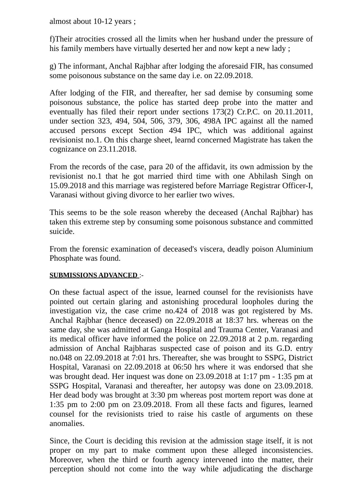almost about 10-12 years ;

f)Their atrocities crossed all the limits when her husband under the pressure of his family members have virtually deserted her and now kept a new lady ;

g) The informant, Anchal Rajbhar after lodging the aforesaid FIR, has consumed some poisonous substance on the same day i.e. on 22.09.2018.

After lodging of the FIR, and thereafter, her sad demise by consuming some poisonous substance, the police has started deep probe into the matter and eventually has filed their report under sections 173(2) Cr.P.C. on 20.11.2011, under section 323, 494, 504, 506, 379, 306, 498A IPC against all the named accused persons except Section 494 IPC, which was additional against revisionist no.1. On this charge sheet, learnd concerned Magistrate has taken the cognizance on 23.11.2018.

From the records of the case, para 20 of the affidavit, its own admission by the revisionist no.1 that he got married third time with one Abhilash Singh on 15.09.2018 and this marriage was registered before Marriage Registrar Officer-I, Varanasi without giving divorce to her earlier two wives.

This seems to be the sole reason whereby the deceased (Anchal Rajbhar) has taken this extreme step by consuming some poisonous substance and committed suicide.

From the forensic examination of deceased's viscera, deadly poison Aluminium Phosphate was found.

#### **SUBMISSIONS ADVANCED** :-

On these factual aspect of the issue, learned counsel for the revisionists have pointed out certain glaring and astonishing procedural loopholes during the investigation viz, the case crime no.424 of 2018 was got registered by Ms. Anchal Rajbhar (hence deceased) on 22.09.2018 at 18:37 hrs. whereas on the same day, she was admitted at Ganga Hospital and Trauma Center, Varanasi and its medical officer have informed the police on 22.09.2018 at 2 p.m. regarding admission of Anchal Rajbharas suspected case of poison and its G.D. entry no.048 on 22.09.2018 at 7:01 hrs. Thereafter, she was brought to SSPG, District Hospital, Varanasi on 22.09.2018 at 06:50 hrs where it was endorsed that she was brought dead. Her inquest was done on 23.09.2018 at 1:17 pm - 1:35 pm at SSPG Hospital, Varanasi and thereafter, her autopsy was done on 23.09.2018. Her dead body was brought at 3:30 pm whereas post mortem report was done at 1:35 pm to 2:00 pm on 23.09.2018. From all these facts and figures, learned counsel for the revisionists tried to raise his castle of arguments on these anomalies.

Since, the Court is deciding this revision at the admission stage itself, it is not proper on my part to make comment upon these alleged inconsistencies. Moreover, when the third or fourth agency intervened into the matter, their perception should not come into the way while adjudicating the discharge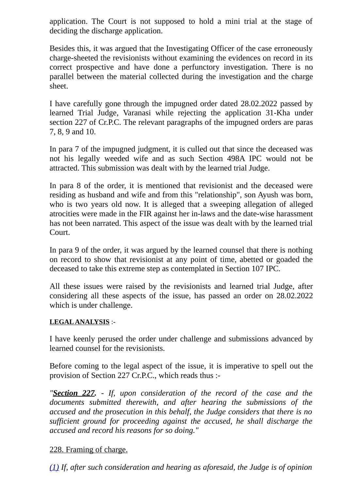application. The Court is not supposed to hold a mini trial at the stage of deciding the discharge application.

Besides this, it was argued that the Investigating Officer of the case erroneously charge-sheeted the revisionists without examining the evidences on record in its correct prospective and have done a perfunctory investigation. There is no parallel between the material collected during the investigation and the charge sheet.

I have carefully gone through the impugned order dated 28.02.2022 passed by learned Trial Judge, Varanasi while rejecting the application 31-Kha under section 227 of Cr.P.C. The relevant paragraphs of the impugned orders are paras 7, 8, 9 and 10.

In para 7 of the impugned judgment, it is culled out that since the deceased was not his legally weeded wife and as such Section 498A IPC would not be attracted. This submission was dealt with by the learned trial Judge.

In para 8 of the order, it is mentioned that revisionist and the deceased were residing as husband and wife and from this "relationship", son Ayush was born, who is two years old now. It is alleged that a sweeping allegation of alleged atrocities were made in the FIR against her in-laws and the date-wise harassment has not been narrated. This aspect of the issue was dealt with by the learned trial Court.

In para 9 of the order, it was argued by the learned counsel that there is nothing on record to show that revisionist at any point of time, abetted or goaded the deceased to take this extreme step as contemplated in Section 107 IPC.

All these issues were raised by the revisionists and learned trial Judge, after considering all these aspects of the issue, has passed an order on 28.02.2022 which is under challenge.

### **LEGAL ANALYSIS** :-

I have keenly perused the order under challenge and submissions advanced by learned counsel for the revisionists.

Before coming to the legal aspect of the issue, it is imperative to spell out the provision of Section 227 Cr.P.C., which reads thus :-

*"Section 227. - If, upon consideration of the record of the case and the documents submitted therewith, and after hearing the submissions of the accused and the prosecution in this behalf, the Judge considers that there is no sufficient ground for proceeding against the accused, he shall discharge the accused and record his reasons for so doing."*

# 228. Framing of charge.

*[\(1\)](https://indiankanoon.org/doc/793281/) If, after such consideration and hearing as aforesaid, the Judge is of opinion*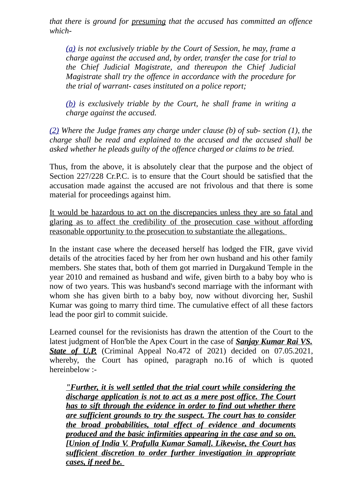*that there is ground for presuming that the accused has committed an offence which-*

*[\(a\)](https://indiankanoon.org/doc/495541/) is not exclusively triable by the Court of Session, he may, frame a charge against the accused and, by order, transfer the case for trial to the Chief Judicial Magistrate, and thereupon the Chief Judicial Magistrate shall try the offence in accordance with the procedure for the trial of warrant- cases instituted on a police report;*

*[\(b\)](https://indiankanoon.org/doc/98829/) is exclusively triable by the Court, he shall frame in writing a charge against the accused.*

*[\(2\)](https://indiankanoon.org/doc/32765/) Where the Judge frames any charge under clause (b) of sub- section (1), the charge shall be read and explained to the accused and the accused shall be asked whether he pleads guilty of the offence charged or claims to be tried.*

Thus, from the above, it is absolutely clear that the purpose and the object of Section 227/228 Cr.P.C. is to ensure that the Court should be satisfied that the accusation made against the accused are not frivolous and that there is some material for proceedings against him.

It would be hazardous to act on the discrepancies unless they are so fatal and glaring as to affect the credibility of the prosecution case without affording reasonable opportunity to the prosecution to substantiate the allegations.

In the instant case where the deceased herself has lodged the FIR, gave vivid details of the atrocities faced by her from her own husband and his other family members. She states that, both of them got married in Durgakund Temple in the year 2010 and remained as husband and wife, given birth to a baby boy who is now of two years. This was husband's second marriage with the informant with whom she has given birth to a baby boy, now without divorcing her, Sushil Kumar was going to marry third time. The cumulative effect of all these factors lead the poor girl to commit suicide.

Learned counsel for the revisionists has drawn the attention of the Court to the latest judgment of Hon'ble the Apex Court in the case of *Sanjay Kumar Rai VS. State of U.P.* (Criminal Appeal No.472 of 2021) decided on 07.05.2021, whereby, the Court has opined, paragraph no.16 of which is quoted hereinbelow :-

*"Further, it is well settled that the trial court while considering the discharge application is not to act as a mere post office. The Court has to sift through the evidence in order to find out whether there are sufficient grounds to try the suspect. The court has to consider the broad probabilities, total effect of evidence and documents produced and the basic infirmities appearing in the case and so on. [Union of India V. Prafulla Kumar Samal]. Likewise, the Court has sufficient discretion to order further investigation in appropriate cases, if need be.*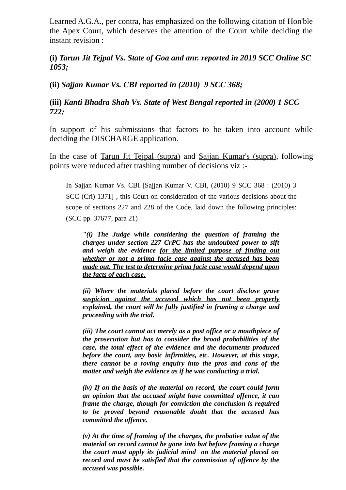Learned A.G.A., per contra, has emphasized on the following citation of Hon'ble the Apex Court, which deserves the attention of the Court while deciding the instant revision :

## **(i)** *Tarun Jit Tejpal Vs. State of Goa and anr. reported in 2019 SCC Online SC 1053;*

**(ii)** *Sajjan Kumar Vs. CBI reported in (2010) 9 SCC 368;*

### **(iii)** *Kanti Bhadra Shah Vs. State of West Bengal reported in (2000) 1 SCC 722;*

In support of his submissions that factors to be taken into account while deciding the DISCHARGE application.

In the case of Tarun Jit Tejpal (supra) and Sajjan Kumar's (supra), following points were reduced after trashing number of decisions viz :-

In Sajjan Kumar Vs. CBI [Sajjan Kumar V. CBI, (2010) 9 SCC 368 : (2010) 3 SCC (Cri) 1371] , this Court on consideration of the various decisions about the scope of sections 227 and 228 of the Code, laid down the following principles: (SCC pp. 37677, para 21)

*"(i) The Judge while considering the question of framing the charges under section 227 CrPC has the undoubted power to sift and weigh the evidence for the limited purpose of finding out whether or not a prima facie case against the accused has been made out. The test to determine prima facie case would depend upon the facts of each case.*

*(ii) Where the materials placed before the court disclose grave suspicion against the accused which has not been properly explained, the court will be fully justified in framing a charge and proceeding with the trial.*

*(iii) The court cannot act merely as a post office or a mouthpiece of the prosecution but has to consider the broad probabilities of the case, the total effect of the evidence and the documents produced before the court, any basic infirmities, etc. However, at this stage, there cannot be a roving enquiry into the pros and cons of the matter and weigh the evidence as if he was conducting a trial.*

*(iv) If on the basis of the material on record, the court could form an opinion that the accused might have committed offence, it can frame the charge, though for conviction the conclusion is required to be proved beyond reasonable doubt that the accused has committed the offence.*

*(v) At the time of framing of the charges, the probative value of the material on record cannot be gone into but before framing a charge the court must apply its judicial mind on the material placed on record and must be satisfied that the commission of offence by the accused was possible.*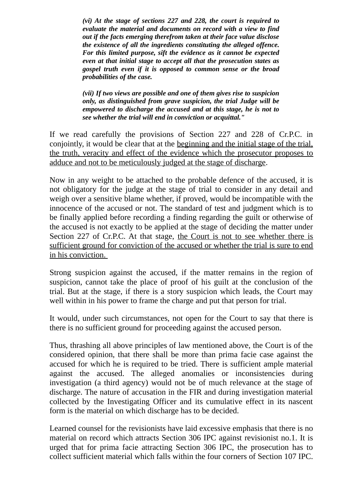*(vi) At the stage of sections 227 and 228, the court is required to evaluate the material and documents on record with a view to find out if the facts emerging therefrom taken at their face value disclose the existence of all the ingredients constituting the alleged offence. For this limited purpose, sift the evidence as it cannot be expected even at that initial stage to accept all that the prosecution states as gospel truth even if it is opposed to common sense or the broad probabilities of the case.*

*(vii) If two views are possible and one of them gives rise to suspicion only, as distinguished from grave suspicion, the trial Judge will be empowered to discharge the accused and at this stage, he is not to see whether the trial will end in conviction or acquittal."*

If we read carefully the provisions of Section 227 and 228 of Cr.P.C. in conjointly, it would be clear that at the beginning and the initial stage of the trial, the truth, veracity and effect of the evidence which the prosecutor proposes to adduce and not to be meticulously judged at the stage of discharge.

Now in any weight to be attached to the probable defence of the accused, it is not obligatory for the judge at the stage of trial to consider in any detail and weigh over a sensitive blame whether, if proved, would be incompatible with the innocence of the accused or not. The standard of test and judgment which is to be finally applied before recording a finding regarding the guilt or otherwise of the accused is not exactly to be applied at the stage of deciding the matter under Section 227 of Cr.P.C. At that stage, the Court is not to see whether there is sufficient ground for conviction of the accused or whether the trial is sure to end in his conviction.

Strong suspicion against the accused, if the matter remains in the region of suspicion, cannot take the place of proof of his guilt at the conclusion of the trial. But at the stage, if there is a story suspicion which leads, the Court may well within in his power to frame the charge and put that person for trial.

It would, under such circumstances, not open for the Court to say that there is there is no sufficient ground for proceeding against the accused person.

Thus, thrashing all above principles of law mentioned above, the Court is of the considered opinion, that there shall be more than prima facie case against the accused for which he is required to be tried. There is sufficient ample material against the accused. The alleged anomalies or inconsistencies during investigation (a third agency) would not be of much relevance at the stage of discharge. The nature of accusation in the FIR and during investigation material collected by the Investigating Officer and its cumulative effect in its nascent form is the material on which discharge has to be decided.

Learned counsel for the revisionists have laid excessive emphasis that there is no material on record which attracts Section 306 IPC against revisionist no.1. It is urged that for prima facie attracting Section 306 IPC, the prosecution has to collect sufficient material which falls within the four corners of Section 107 IPC.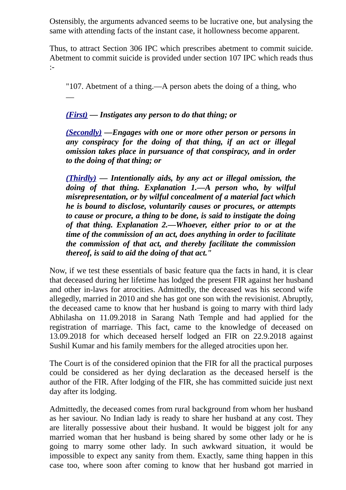Ostensibly, the arguments advanced seems to be lucrative one, but analysing the same with attending facts of the instant case, it hollowness become apparent.

Thus, to attract Section 306 IPC which prescribes abetment to commit suicide. Abetment to commit suicide is provided under section 107 IPC which reads thus :-

"107. Abetment of a thing.—A person abets the doing of a thing, who —

# *[\(First\)](https://indiankanoon.org/doc/140859846/) — Instigates any person to do that thing; or*

*[\(Secondly\)](https://indiankanoon.org/doc/13181557/) —Engages with one or more other person or persons in any conspiracy for the doing of that thing, if an act or illegal omission takes place in pursuance of that conspiracy, and in order to the doing of that thing; or*

*[\(Thirdly\)](https://indiankanoon.org/doc/80409215/) — Intentionally aids, by any act or illegal omission, the doing of that thing. Explanation 1.—A person who, by wilful misrepresentation, or by wilful concealment of a material fact which he is bound to disclose, voluntarily causes or procures, or attempts to cause or procure, a thing to be done, is said to instigate the doing of that thing. Explanation 2.—Whoever, either prior to or at the time of the commission of an act, does anything in order to facilitate the commission of that act, and thereby facilitate the commission thereof, is said to aid the doing of that act."*

Now, if we test these essentials of basic feature qua the facts in hand, it is clear that deceased during her lifetime has lodged the present FIR against her husband and other in-laws for atrocities. Admittedly, the deceased was his second wife allegedly, married in 2010 and she has got one son with the revisionist. Abruptly, the deceased came to know that her husband is going to marry with third lady Abhilasha on 11.09.2018 in Sarang Nath Temple and had applied for the registration of marriage. This fact, came to the knowledge of deceased on 13.09.2018 for which deceased herself lodged an FIR on 22.9.2018 against Sushil Kumar and his family members for the alleged atrocities upon her.

The Court is of the considered opinion that the FIR for all the practical purposes could be considered as her dying declaration as the deceased herself is the author of the FIR. After lodging of the FIR, she has committed suicide just next day after its lodging.

Admittedly, the deceased comes from rural background from whom her husband as her saviour. No Indian lady is ready to share her husband at any cost. They are literally possessive about their husband. It would be biggest jolt for any married woman that her husband is being shared by some other lady or he is going to marry some other lady. In such awkward situation, it would be impossible to expect any sanity from them. Exactly, same thing happen in this case too, where soon after coming to know that her husband got married in